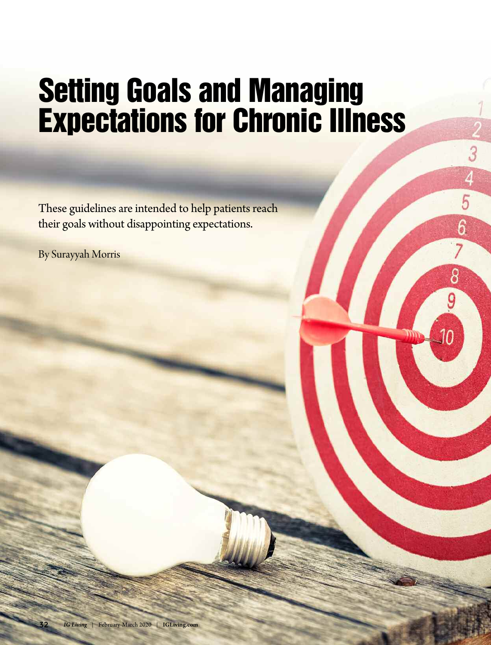# **Setting Goals and Managing Expectations for Chronic Illness**

 $\begin{array}{c}\n3 \\
4 \\
5\n\end{array}$ 

 $\overline{6}$ 

 $\overline{8}$ 

9

These guidelines are intended to help patients reach their goals without disappointing expectations.

By Surayyah Morris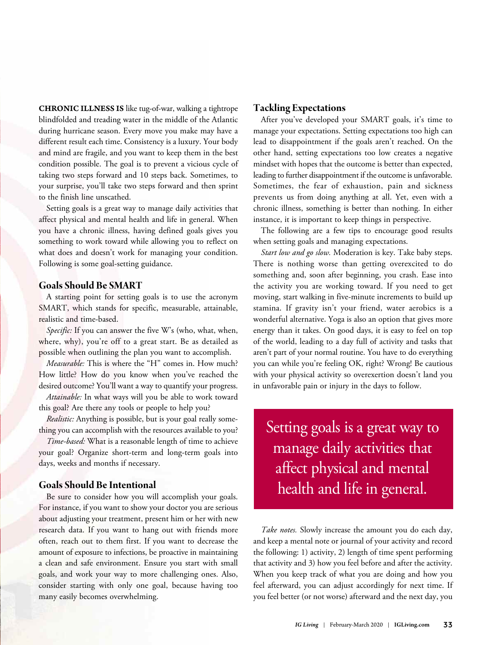**CHRONIC ILLNESS IS** like tug-of-war, walking a tightrope blindfolded and treading water in the middle of the Atlantic during hurricane season. Every move you make may have a different result each time. Consistency is a luxury. Your body and mind are fragile, and you want to keep them in the best condition possible. The goal is to prevent a vicious cycle of taking two steps forward and 10 steps back. Sometimes, to your surprise, you'll take two steps forward and then sprint to the finish line unscathed.

Setting goals is a great way to manage daily activities that affect physical and mental health and life in general. When you have a chronic illness, having defined goals gives you something to work toward while allowing you to reflect on what does and doesn't work for managing your condition. Following is some goal-setting guidance.

### **Goals Should Be SMART**

A starting point for setting goals is to use the acronym SMART, which stands for specific, measurable, attainable, realistic and time-based.

*Specific:* If you can answer the five W's (who, what, when, where, why), you're off to a great start. Be as detailed as possible when outlining the plan you want to accomplish.

*Measurable:* This is where the "H" comes in. How much? How little? How do you know when you've reached the desired outcome? You'll want a way to quantify your progress.

*Attainable:* In what ways will you be able to work toward this goal? Are there any tools or people to help you?

*Realistic:* Anything is possible, but is your goal really something you can accomplish with the resources available to you?

*Time-based:* What is a reasonable length of time to achieve your goal? Organize short-term and long-term goals into days, weeks and months if necessary.

### **Goals Should Be Intentional**

Be sure to consider how you will accomplish your goals. For instance, if you want to show your doctor you are serious about adjusting your treatment, present him or her with new research data. If you want to hang out with friends more often, reach out to them first. If you want to decrease the amount of exposure to infections, be proactive in maintaining a clean and safe environment. Ensure you start with small goals, and work your way to more challenging ones. Also, consider starting with only one goal, because having too many easily becomes overwhelming.

### **Tackling Expectations**

After you've developed your SMART goals, it's time to manage your expectations. Setting expectations too high can lead to disappointment if the goals aren't reached. On the other hand, setting expectations too low creates a negative mindset with hopes that the outcome is better than expected, leading to further disappointment if the outcome is unfavorable. Sometimes, the fear of exhaustion, pain and sickness prevents us from doing anything at all. Yet, even with a chronic illness, something is better than nothing. In either instance, it is important to keep things in perspective.

The following are a few tips to encourage good results when setting goals and managing expectations.

*Start low and go slow.* Moderation is key. Take baby steps. There is nothing worse than getting overexcited to do something and, soon after beginning, you crash. Ease into the activity you are working toward. If you need to get moving, start walking in five-minute increments to build up stamina. If gravity isn't your friend, water aerobics is a wonderful alternative. Yoga is also an option that gives more energy than it takes. On good days, it is easy to feel on top of the world, leading to a day full of activity and tasks that aren't part of your normal routine. You have to do everything you can while you're feeling OK, right? Wrong! Be cautious with your physical activity so overexertion doesn't land you in unfavorable pain or injury in the days to follow.

Setting goals is a great way to manage daily activities that affect physical and mental health and life in general.

*Take notes.* Slowly increase the amount you do each day, and keep a mental note or journal of your activity and record the following: 1) activity, 2) length of time spent performing that activity and 3) how you feel before and after the activity. When you keep track of what you are doing and how you feel afterward, you can adjust accordingly for next time. If you feel better (or not worse) afterward and the next day, you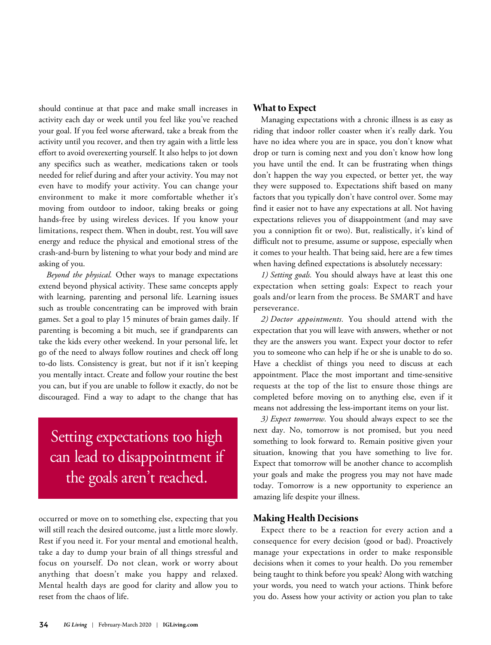should continue at that pace and make small increases in activity each day or week until you feel like you've reached your goal. If you feel worse afterward, take a break from the activity until you recover, and then try again with a little less effort to avoid overexerting yourself. It also helps to jot down any specifics such as weather, medications taken or tools needed for relief during and after your activity. You may not even have to modify your activity. You can change your environment to make it more comfortable whether it's moving from outdoor to indoor, taking breaks or going hands-free by using wireless devices. If you know your limitations, respect them. When in doubt, rest. You will save energy and reduce the physical and emotional stress of the crash-and-burn by listening to what your body and mind are asking of you.

*Beyond the physical.* Other ways to manage expectations extend beyond physical activity. These same concepts apply with learning, parenting and personal life. Learning issues such as trouble concentrating can be improved with brain games. Set a goal to play 15 minutes of brain games daily. If parenting is becoming a bit much, see if grandparents can take the kids every other weekend. In your personal life, let go of the need to always follow routines and check off long to-do lists. Consistency is great, but not if it isn't keeping you mentally intact. Create and follow your routine the best you can, but if you are unable to follow it exactly, do not be discouraged. Find a way to adapt to the change that has

# Setting expectations too high can lead to disappointment if the goals aren ' t reached.

occurred or move on to something else, expecting that you will still reach the desired outcome, just a little more slowly. Rest if you need it. For your mental and emotional health, take a day to dump your brain of all things stressful and focus on yourself. Do not clean, work or worry about anything that doesn't make you happy and relaxed. Mental health days are good for clarity and allow you to reset from the chaos of life.

### **What to Expect**

Managing expectations with a chronic illness is as easy as riding that indoor roller coaster when it's really dark. You have no idea where you are in space, you don't know what drop or turn is coming next and you don't know how long you have until the end. It can be frustrating when things don't happen the way you expected, or better yet, the way they were supposed to. Expectations shift based on many factors that you typically don't have control over. Some may find it easier not to have any expectations at all. Not having expectations relieves you of disappointment (and may save you a conniption fit or two). But, realistically, it's kind of difficult not to presume, assume or suppose, especially when it comes to your health. That being said, here are a few times when having defined expectations is absolutely necessary:

*1) Setting goals.* You should always have at least this one expectation when setting goals: Expect to reach your goals and/or learn from the process. Be SMART and have perseverance.

*2) Doctor appointments.* You should attend with the expectation that you will leave with answers, whether or not they are the answers you want. Expect your doctor to refer you to someone who can help if he or she is unable to do so. Have a checklist of things you need to discuss at each appointment. Place the most important and time-sensitive requests at the top of the list to ensure those things are completed before moving on to anything else, even if it means not addressing the less-important items on your list.

*3) Expect tomorrow.* You should always expect to see the next day. No, tomorrow is not promised, but you need something to look forward to. Remain positive given your situation, knowing that you have something to live for. Expect that tomorrow will be another chance to accomplish your goals and make the progress you may not have made today. Tomorrow is a new opportunity to experience an amazing life despite your illness.

## **Making HealthDecisions**

Expect there to be a reaction for every action and a consequence for every decision (good or bad). Proactively manage your expectations in order to make responsible decisions when it comes to your health. Do you remember being taught to think before you speak? Along with watching your words, you need to watch your actions. Think before you do. Assess how your activity or action you plan to take